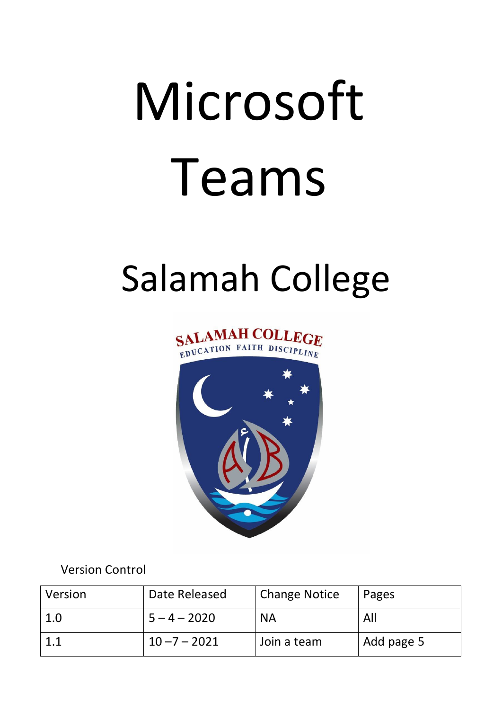## Microsoft Teams

## Salamah College





Version Control

| Version | Date Released   | <b>Change Notice</b> | Pages      |
|---------|-----------------|----------------------|------------|
| 1.0     | $5 - 4 - 2020$  | <b>NA</b>            | All        |
|         | $10 - 7 - 2021$ | Join a team          | Add page 5 |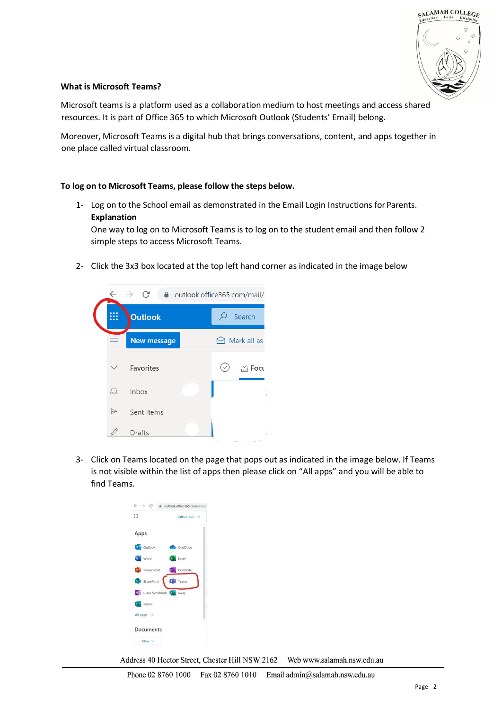

## **What is Microsoft Teams?**

Microsoft teams is a platform used as a collaboration medium to host meetings and access shared resources. It is part of Office 365 to which Microsoft Outlook (Students' Email) belong.

Moreover, Microsoft Teams is a digital hub that brings conversations, content, and apps together in one place called virtual classroom.

## **To log on to Microsoft Teams, please follow the steps below.**

1- Log on to the School email as demonstrated in the Email Login Instructions for Parents. **Explanation**

One way to log on to Microsoft Teams is to log on to the student email and then follow 2 simple steps to access Microsoft Teams.

2- Click the 3x3 box located at the top left hand corner as indicated in the image below



3- Click on Teams located on the page that pops out as indicated in the image below. If Teams is not visible within the list of apps then please click on "All apps" and you will be able to find Teams.

| $\leftarrow$ $\rightarrow$ C           | e outlook.office365.com/mail/ |
|----------------------------------------|-------------------------------|
| ₩                                      | Office 365 $\rightarrow$      |
| Apps                                   |                               |
| <b>D</b> Outlook                       | OneDrive                      |
| Word                                   | <b>X</b> Excel                |
| PowerPoint                             | N OneNote                     |
| S SharePoint                           | <b>Ti</b> Teams               |
| N <sup>o</sup> Class Notebook Sta Sway |                               |
| <b>F</b> Forms                         |                               |
| All apps $\rightarrow$                 |                               |
| Documents                              |                               |
| New $\vee$                             |                               |

Address 40 Hector Street, Chester Hill NSW 2162 Web www.salamah.nsw.edu.au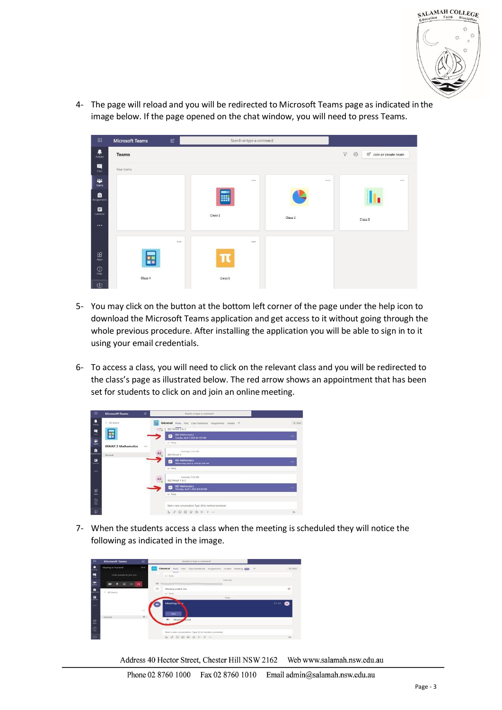

4- The page will reload and you will be redirected to Microsoft Teams page as indicated in the image below. If the page opened on the chat window, you will need to press Teams.



- 5- You may click on the button at the bottom left corner of the page under the help icon to download the Microsoft Teams application and get access to it without going through the whole previous procedure. After installing the application you will be able to sign in to it using your email credentials.
- 6- To access a class, you will need to click on the relevant class and you will be redirected to the class's page as illustrated below. The red arrow shows an appointment that has been set for students to click on and join an online meeting.

| 薑                  | <b>Microsoft Teams</b>     | B        | Search or type a convrond                                                                     |             |
|--------------------|----------------------------|----------|-----------------------------------------------------------------------------------------------|-------------|
| Ą<br><b>Artist</b> | C All fearrs               |          | General Posts Files Class Notebook Assignments Grades +<br>Ħ<br>162 Veros 7 & 3               |             |
| 튄<br>¥.            | 噩                          |          | <b>CER</b><br>882 Methematics<br>n<br>Transfer April 7, 2020 @ 9:20 AM                        | 144         |
| ÷<br>a             | <b>08MAT 2 Mathematics</b> | $\mu\mu$ | an Heying<br><b>Testenbar 11202 AM</b>                                                        |             |
| ≅                  | General                    |          | AS<br>BB2 Period 1<br>882 Mathematics<br>II <sup>+</sup><br>Wednesday, April & 2020 @ 5:40 AM | <b>TER</b>  |
|                    |                            |          | art Haple                                                                                     |             |
|                    |                            |          | As<br>Nettenbia 11 OK AM<br>182 Period 1 & 2<br><b>682 Mathematics</b><br>ir.                 | <b>Sec.</b> |
| 震                  |                            |          | Thursday, April 1, 2020 @ 5.40 AM<br>$e^{-}$ Heyle                                            |             |
| Ø                  |                            |          | Start a new convenation. Type @ to mention someone.                                           |             |
| Φ                  |                            |          | 4000000000                                                                                    | D-          |

7- When the students access a class when the meeting is scheduled they will notice the following as indicated in the image.

| m                                | <b>Microsoft Teams</b>    | OF.           | Search or type a command                                                                |                |
|----------------------------------|---------------------------|---------------|-----------------------------------------------------------------------------------------|----------------|
| ٠<br>$\mathcal{L} = \mathcal{L}$ | Meeting in "General"      | 012           | General Posts Files Class Notebook Assignments Grades Meeting CD +                      | o team         |
| 틘                                | Invite people to join you |               | $\overline{\phantom{a}}$<br>42 Bayle                                                    |                |
| 出                                | Б<br>œ<br>$\cdots$        | $\sim$        | Vestorday<br>288<br>$\sim$                                                              |                |
| ۰<br>-                           | < All tearms              |               | $\mathfrak{S}$<br>Meeting ended: 33s<br>ar Rashy                                        | $\overline{a}$ |
| $\blacksquare$                   |                           |               | Today                                                                                   |                |
|                                  |                           |               | Meeting m.<br>w                                                                         | 01:12<br>œ     |
|                                  |                           | $\cdots$<br>W | Join.                                                                                   |                |
| 思                                | General                   |               | u.<br>Meeting                                                                           |                |
| $\overline{\mathbb{Q}}$          |                           |               |                                                                                         |                |
| 由                                |                           |               | Start a new conversation. Type @ to mention someone.<br><b>A &amp; © B W @ &amp; Q </b> | $5-$           |

Address 40 Hector Street, Chester Hill NSW 2162 Web www.salamah.nsw.edu.au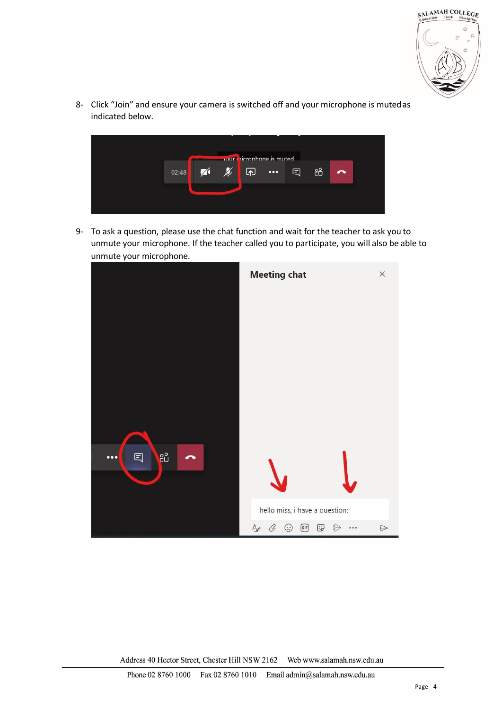

8- Click "Join" and ensure your camera is switched off and your microphone is mutedas indicated below.



9- To ask a question, please use the chat function and wait for the teacher to ask you to unmute your microphone. If the teacher called you to participate, you will also be able to unmute your microphone.



Address 40 Hector Street, Chester Hill NSW 2162 Web www.salamah.nsw.edu.au